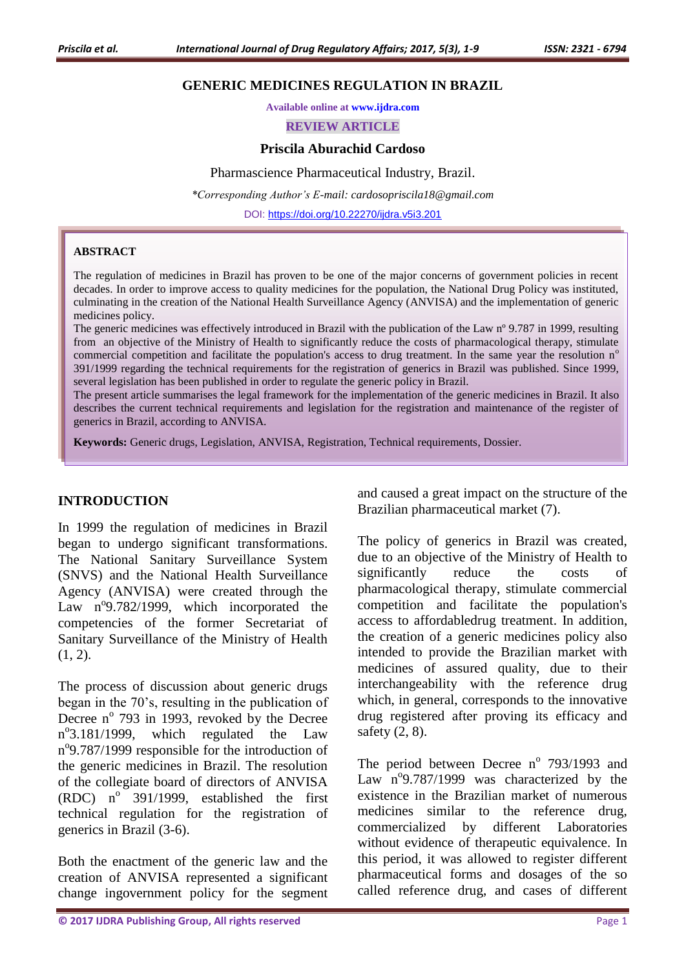#### **GENERIC MEDICINES REGULATION IN BRAZIL**

**Available online at [www.ijdra.com](http://www.ijdra.com/)**

**REVIEW ARTICLE**

#### **Priscila Aburachid Cardoso**

Pharmascience Pharmaceutical Industry, Brazil.

*\*Corresponding Author's E-mail: [cardosopriscila18@gmail.com](mailto:cardosopriscila18@gmail.com)*

DOI: <https://doi.org/10.22270/ijdra.v5i3.201>

#### **ABSTRACT**

The regulation of medicines in Brazil has proven to be one of the major concerns of government policies in recent decades. In order to improve access to quality medicines for the population, the National Drug Policy was instituted, culminating in the creation of the National Health Surveillance Agency (ANVISA) and the implementation of generic medicines policy.

The generic medicines was effectively introduced in Brazil with the publication of the Law n° 9.787 in 1999, resulting from an objective of the Ministry of Health to significantly reduce the costs of pharmacological therapy, stimulate commercial competition and facilitate the population's access to drug treatment. In the same year the resolution n<sup>o</sup> 391/1999 regarding the technical requirements for the registration of generics in Brazil was published. Since 1999, several legislation has been published in order to regulate the generic policy in Brazil.

The present article summarises the legal framework for the implementation of the generic medicines in Brazil. It also describes the current technical requirements and legislation for the registration and maintenance of the register of generics in Brazil, according to ANVISA.

**Keywords:** Generic drugs, Legislation, ANVISA, Registration, Technical requirements, Dossier.

#### **INTRODUCTION**

In 1999 the regulation of medicines in Brazil began to undergo significant transformations. The National Sanitary Surveillance System (SNVS) and the National Health Surveillance Agency (ANVISA) were created through the Law nº9.782/1999, which incorporated the competencies of the former Secretariat of Sanitary Surveillance of the Ministry of Health  $(1, 2)$ .

The process of discussion about generic drugs began in the 70's, resulting in the publication of Decree  $n^{\circ}$  793 in 1993, revoked by the Decree n°3.181/1999, which regulated the Law n<sup>o</sup>9.787/1999 responsible for the introduction of the generic medicines in Brazil. The resolution of the collegiate board of directors of ANVISA (RDC)  $n^{\circ}$  391/1999, established the first technical regulation for the registration of generics in Brazil (3-6).

Both the enactment of the generic law and the creation of ANVISA represented a significant change ingovernment policy for the segment

and caused a great impact on the structure of the Brazilian pharmaceutical market (7).

The policy of generics in Brazil was created, due to an objective of the Ministry of Health to significantly reduce the costs of pharmacological therapy, stimulate commercial competition and facilitate the population's access to affordabledrug treatment. In addition, the creation of a generic medicines policy also intended to provide the Brazilian market with medicines of assured quality, due to their interchangeability with the reference drug which, in general, corresponds to the innovative drug registered after proving its efficacy and safety (2, 8).

The period between Decree  $n^{\circ}$  793/1993 and Law  $n^{\circ}$ 9.787/1999 was characterized by the existence in the Brazilian market of numerous medicines similar to the reference drug, commercialized by different Laboratories without evidence of therapeutic equivalence. In this period, it was allowed to register different pharmaceutical forms and dosages of the so called reference drug, and cases of different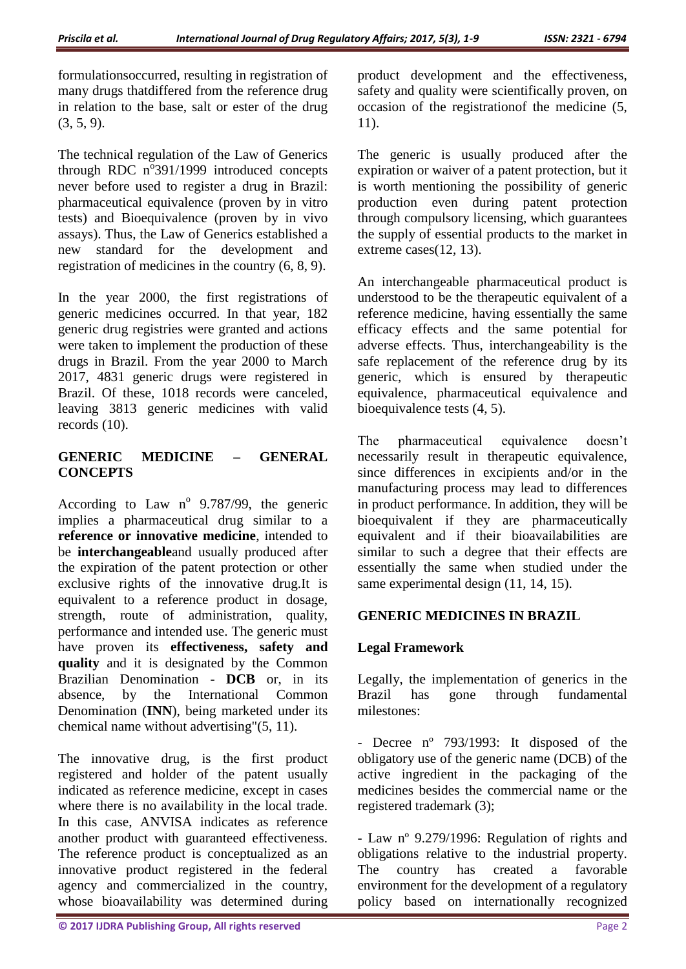formulationsoccurred, resulting in registration of many drugs thatdiffered from the reference drug in relation to the base, salt or ester of the drug  $(3, 5, 9)$ .

The technical regulation of the Law of Generics through RDC  $n^{\circ}$ 391/1999 introduced concepts never before used to register a drug in Brazil: pharmaceutical equivalence (proven by in vitro tests) and Bioequivalence (proven by in vivo assays). Thus, the Law of Generics established a new standard for the development and registration of medicines in the country (6, 8, 9).

In the year 2000, the first registrations of generic medicines occurred. In that year, 182 generic drug registries were granted and actions were taken to implement the production of these drugs in Brazil. From the year 2000 to March 2017, 4831 generic drugs were registered in Brazil. Of these, 1018 records were canceled, leaving 3813 generic medicines with valid records (10).

# **GENERIC MEDICINE – GENERAL CONCEPTS**

According to Law  $n^{\circ}$  9.787/99, the generic implies a pharmaceutical drug similar to a **reference or innovative medicine**, intended to be **interchangeable**and usually produced after the expiration of the patent protection or other exclusive rights of the innovative drug.It is equivalent to a reference product in dosage, strength, route of administration, quality, performance and intended use. The generic must have proven its **effectiveness, safety and quality** and it is designated by the Common Brazilian Denomination - **DCB** or, in its absence, by the International Common Denomination (**INN**), being marketed under its chemical name without advertising"(5, 11).

The innovative drug, is the first product registered and holder of the patent usually indicated as reference medicine, except in cases where there is no availability in the local trade. In this case, ANVISA indicates as reference another product with guaranteed effectiveness. The reference product is conceptualized as an innovative product registered in the federal agency and commercialized in the country, whose bioavailability was determined during

product development and the effectiveness, safety and quality were scientifically proven, on occasion of the registrationof the medicine (5, 11).

The generic is usually produced after the expiration or waiver of a patent protection, but it is worth mentioning the possibility of generic production even during patent protection through compulsory licensing, which guarantees the supply of essential products to the market in extreme cases(12, 13).

An interchangeable pharmaceutical product is understood to be the therapeutic equivalent of a reference medicine, having essentially the same efficacy effects and the same potential for adverse effects. Thus, interchangeability is the safe replacement of the reference drug by its generic, which is ensured by therapeutic equivalence, pharmaceutical equivalence and bioequivalence tests (4, 5).

The pharmaceutical equivalence doesn't necessarily result in therapeutic equivalence, since differences in excipients and/or in the manufacturing process may lead to differences in product performance. In addition, they will be bioequivalent if they are pharmaceutically equivalent and if their bioavailabilities are similar to such a degree that their effects are essentially the same when studied under the same experimental design (11, 14, 15).

# **GENERIC MEDICINES IN BRAZIL**

# **Legal Framework**

Legally, the implementation of generics in the Brazil has gone through fundamental milestones:

- Decree nº 793/1993: It disposed of the obligatory use of the generic name (DCB) of the active ingredient in the packaging of the medicines besides the commercial name or the registered trademark (3);

- Law nº 9.279/1996: Regulation of rights and obligations relative to the industrial property. The country has created a favorable environment for the development of a regulatory policy based on internationally recognized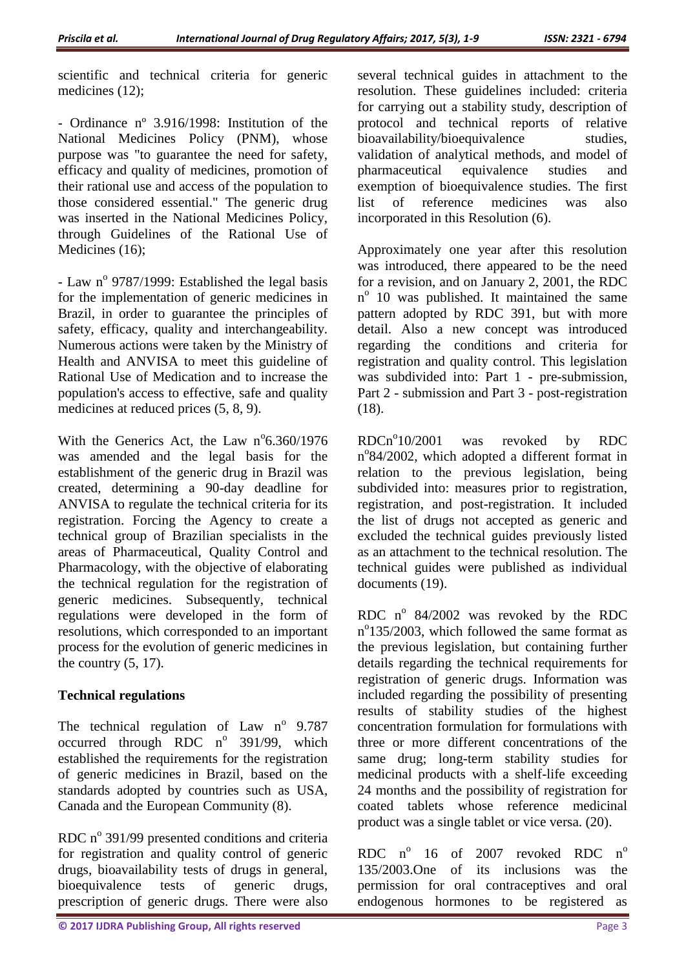scientific and technical criteria for generic medicines (12);

- Ordinance nº 3.916/1998: Institution of the National Medicines Policy (PNM), whose purpose was "to guarantee the need for safety, efficacy and quality of medicines, promotion of their rational use and access of the population to those considered essential." The generic drug was inserted in the National Medicines Policy, through Guidelines of the Rational Use of Medicines (16);

- Law nº 9787/1999: Established the legal basis for the implementation of generic medicines in Brazil, in order to guarantee the principles of safety, efficacy, quality and interchangeability. Numerous actions were taken by the Ministry of Health and ANVISA to meet this guideline of Rational Use of Medication and to increase the population's access to effective, safe and quality medicines at reduced prices (5, 8, 9).

With the Generics Act, the Law  $n^{\circ}6.360/1976$ was amended and the legal basis for the establishment of the generic drug in Brazil was created, determining a 90-day deadline for ANVISA to regulate the technical criteria for its registration. Forcing the Agency to create a technical group of Brazilian specialists in the areas of Pharmaceutical, Quality Control and Pharmacology, with the objective of elaborating the technical regulation for the registration of generic medicines. Subsequently, technical regulations were developed in the form of resolutions, which corresponded to an important process for the evolution of generic medicines in the country  $(5, 17)$ .

# **Technical regulations**

The technical regulation of Law  $n^{\circ}$  9.787 occurred through RDC  $n^{\circ}$  391/99, which established the requirements for the registration of generic medicines in Brazil, based on the standards adopted by countries such as USA, Canada and the European Community (8).

RDC  $n^{\circ}$  391/99 presented conditions and criteria for registration and quality control of generic drugs, bioavailability tests of drugs in general, bioequivalence tests of generic drugs, prescription of generic drugs. There were also

several technical guides in attachment to the resolution. These guidelines included: criteria for carrying out a stability study, description of protocol and technical reports of relative bioavailability/bioequivalence studies, validation of analytical methods, and model of pharmaceutical equivalence studies and exemption of bioequivalence studies. The first list of reference medicines was also incorporated in this Resolution (6).

Approximately one year after this resolution was introduced, there appeared to be the need for a revision, and on January 2, 2001, the RDC n<sup>o</sup> 10 was published. It maintained the same pattern adopted by RDC 391, but with more detail. Also a new concept was introduced regarding the conditions and criteria for registration and quality control. This legislation was subdivided into: Part 1 - pre-submission, Part 2 - submission and Part 3 - post-registration (18).

 $RDCn^{\circ}10/2001$ was revoked by RDC n°84/2002, which adopted a different format in relation to the previous legislation, being subdivided into: measures prior to registration, registration, and post-registration. It included the list of drugs not accepted as generic and excluded the technical guides previously listed as an attachment to the technical resolution. The technical guides were published as individual documents (19).

RDC nº 84/2002 was revoked by the RDC n°135/2003, which followed the same format as the previous legislation, but containing further details regarding the technical requirements for registration of generic drugs. Information was included regarding the possibility of presenting results of stability studies of the highest concentration formulation for formulations with three or more different concentrations of the same drug; long-term stability studies for medicinal products with a shelf-life exceeding 24 months and the possibility of registration for coated tablets whose reference medicinal product was a single tablet or vice versa. (20).

RDC  $n^{\circ}$ 16 of 2007 revoked RDC  $n^{\circ}$ 135/2003.One of its inclusions was the permission for oral contraceptives and oral endogenous hormones to be registered as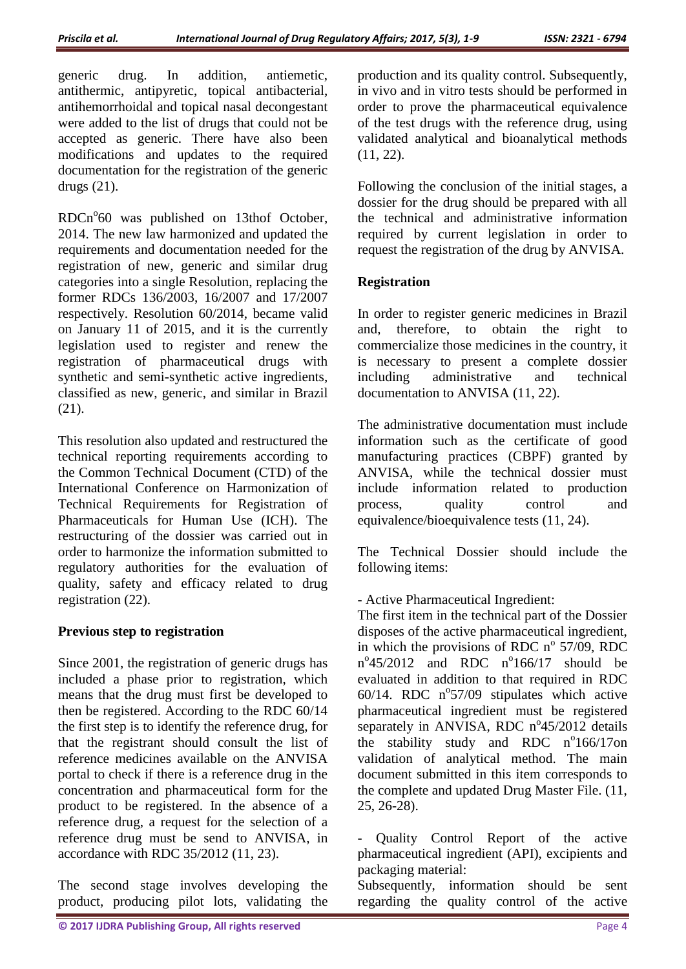generic drug. In addition, antiemetic, antithermic, antipyretic, topical antibacterial, antihemorrhoidal and topical nasal decongestant were added to the list of drugs that could not be accepted as generic. There have also been modifications and updates to the required documentation for the registration of the generic drugs (21).

RDCn°60 was published on 13thof October, 2014. The new law harmonized and updated the requirements and documentation needed for the registration of new, generic and similar drug categories into a single Resolution, replacing the former RDCs 136/2003, 16/2007 and 17/2007 respectively. Resolution 60/2014, became valid on January 11 of 2015, and it is the currently legislation used to register and renew the registration of pharmaceutical drugs with synthetic and semi-synthetic active ingredients, classified as new, generic, and similar in Brazil (21).

This resolution also updated and restructured the technical reporting requirements according to the Common Technical Document (CTD) of the International Conference on Harmonization of Technical Requirements for Registration of Pharmaceuticals for Human Use (ICH). The restructuring of the dossier was carried out in order to harmonize the information submitted to regulatory authorities for the evaluation of quality, safety and efficacy related to drug registration (22).

# **Previous step to registration**

Since 2001, the registration of generic drugs has included a phase prior to registration, which means that the drug must first be developed to then be registered. According to the RDC 60/14 the first step is to identify the reference drug, for that the registrant should consult the list of reference medicines available on the ANVISA portal to check if there is a reference drug in the concentration and pharmaceutical form for the product to be registered. In the absence of a reference drug, a request for the selection of a reference drug must be send to ANVISA, in accordance with RDC 35/2012 (11, 23).

The second stage involves developing the product, producing pilot lots, validating the

production and its quality control. Subsequently, in vivo and in vitro tests should be performed in order to prove the pharmaceutical equivalence of the test drugs with the reference drug, using validated analytical and bioanalytical methods (11, 22).

Following the conclusion of the initial stages, a dossier for the drug should be prepared with all the technical and administrative information required by current legislation in order to request the registration of the drug by ANVISA.

# **Registration**

In order to register generic medicines in Brazil and, therefore, to obtain the right to commercialize those medicines in the country, it is necessary to present a complete dossier<br>including administrative and technical including administrative and documentation to ANVISA (11, 22).

The administrative documentation must include information such as the certificate of good manufacturing practices (CBPF) granted by ANVISA, while the technical dossier must include information related to production process, quality control and equivalence/bioequivalence tests (11, 24).

The Technical Dossier should include the following items:

- Active Pharmaceutical Ingredient:

The first item in the technical part of the Dossier disposes of the active pharmaceutical ingredient, in which the provisions of RDC  $n^{\circ}$  57/09, RDC  $n^{\circ}45/2012$  and RDC  $n^{\circ}166/17$  should be evaluated in addition to that required in RDC  $60/14$ . RDC  $n^{\circ}57/09$  stipulates which active pharmaceutical ingredient must be registered separately in ANVISA, RDC n°45/2012 details the stability study and RDC n°166/17on validation of analytical method. The main document submitted in this item corresponds to the complete and updated Drug Master File. (11, 25, 26-28).

Quality Control Report of the active pharmaceutical ingredient (API), excipients and packaging material:

Subsequently, information should be sent regarding the quality control of the active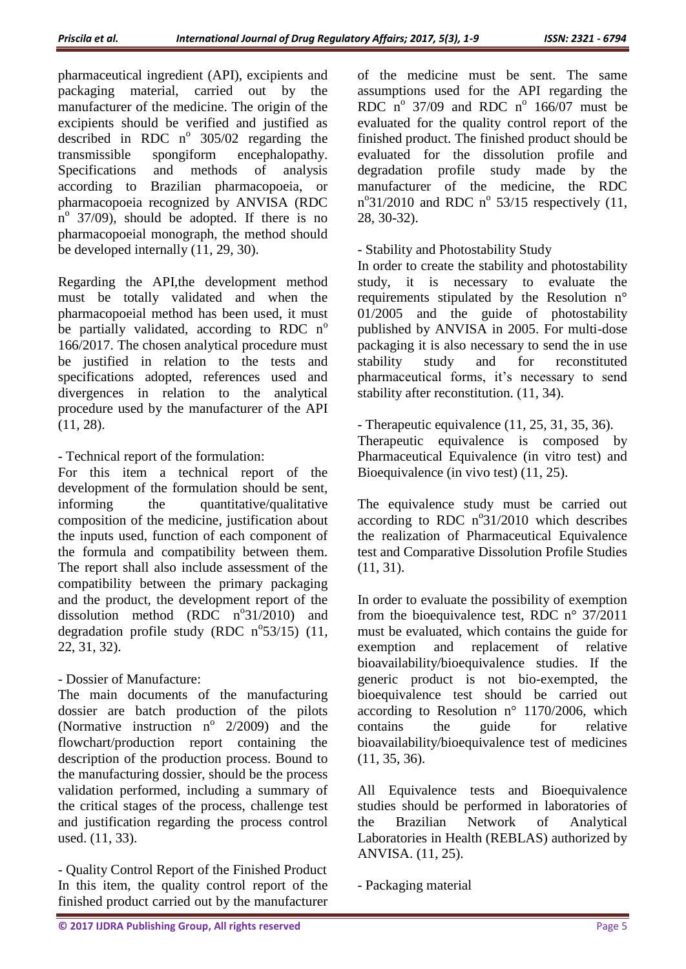pharmaceutical ingredient (API), excipients and packaging material, carried out by the manufacturer of the medicine. The origin of the excipients should be verified and justified as described in RDC  $n^{\circ}$  305/02 regarding the transmissible spongiform encephalopathy. Specifications and methods of analysis according to Brazilian pharmacopoeia, or pharmacopoeia recognized by ANVISA (RDC  $n^{\circ}$  37/09), should be adopted. If there is no pharmacopoeial monograph, the method should be developed internally (11, 29, 30).

Regarding the API,the development method must be totally validated and when the pharmacopoeial method has been used, it must be partially validated, according to RDC  $n^{\circ}$ 166/2017. The chosen analytical procedure must be justified in relation to the tests and specifications adopted, references used and divergences in relation to the analytical procedure used by the manufacturer of the API (11, 28).

- Technical report of the formulation:

For this item a technical report of the development of the formulation should be sent, informing the quantitative/qualitative composition of the medicine, justification about the inputs used, function of each component of the formula and compatibility between them. The report shall also include assessment of the compatibility between the primary packaging and the product, the development report of the dissolution method (RDC  $n^{\circ}31/2010$ ) and degradation profile study (RDC  $n^{\circ}53/15$ ) (11, 22, 31, 32).

- Dossier of Manufacture:

The main documents of the manufacturing dossier are batch production of the pilots (Normative instruction  $n^{\circ}$  2/2009) and the flowchart/production report containing the description of the production process. Bound to the manufacturing dossier, should be the process validation performed, including a summary of the critical stages of the process, challenge test and justification regarding the process control used. (11, 33).

- Quality Control Report of the Finished Product In this item, the quality control report of the finished product carried out by the manufacturer

of the medicine must be sent. The same assumptions used for the API regarding the RDC  $n^{\circ}$  37/09 and RDC  $n^{\circ}$  166/07 must be evaluated for the quality control report of the finished product. The finished product should be evaluated for the dissolution profile and degradation profile study made by the manufacturer of the medicine, the RDC  $n^{\circ}31/2010$  and RDC  $n^{\circ}$  53/15 respectively (11, 28, 30-32).

- Stability and Photostability Study

In order to create the stability and photostability study, it is necessary to evaluate the requirements stipulated by the Resolution n° 01/2005 and the guide of photostability published by ANVISA in 2005. For multi-dose packaging it is also necessary to send the in use stability study and for reconstituted pharmaceutical forms, it's necessary to send stability after reconstitution. (11, 34).

- Therapeutic equivalence (11, 25, 31, 35, 36). Therapeutic equivalence is composed by Pharmaceutical Equivalence (in vitro test) and Bioequivalence (in vivo test) (11, 25).

The equivalence study must be carried out according to RDC  $n^{\circ}31/2010$  which describes the realization of Pharmaceutical Equivalence test and Comparative Dissolution Profile Studies (11, 31).

In order to evaluate the possibility of exemption from the bioequivalence test, RDC n° 37/2011 must be evaluated, which contains the guide for exemption and replacement of relative bioavailability/bioequivalence studies. If the generic product is not bio-exempted, the bioequivalence test should be carried out according to Resolution n° 1170/2006, which contains the guide for relative bioavailability/bioequivalence test of medicines (11, 35, 36).

All Equivalence tests and Bioequivalence studies should be performed in laboratories of the Brazilian Network of Analytical Laboratories in Health (REBLAS) authorized by ANVISA. (11, 25).

- Packaging material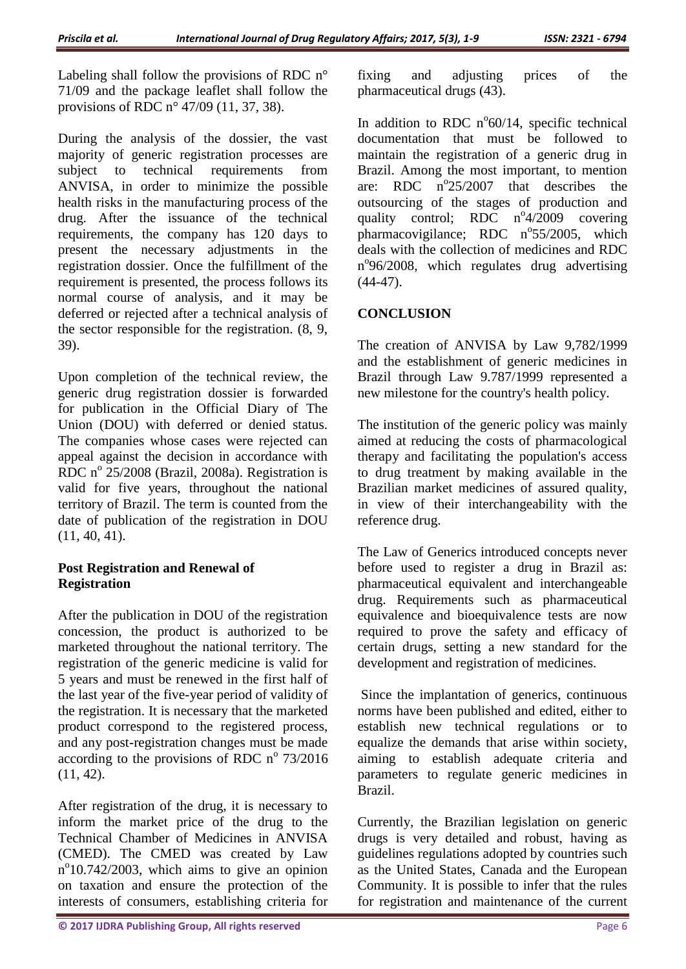Labeling shall follow the provisions of RDC n° 71/09 and the package leaflet shall follow the provisions of RDC n° 47/09 (11, 37, 38).

During the analysis of the dossier, the vast majority of generic registration processes are subject to technical requirements from ANVISA, in order to minimize the possible health risks in the manufacturing process of the drug. After the issuance of the technical requirements, the company has 120 days to present the necessary adjustments in the registration dossier. Once the fulfillment of the requirement is presented, the process follows its normal course of analysis, and it may be deferred or rejected after a technical analysis of the sector responsible for the registration. (8, 9, 39).

Upon completion of the technical review, the generic drug registration dossier is forwarded for publication in the Official Diary of The Union (DOU) with deferred or denied status. The companies whose cases were rejected can appeal against the decision in accordance with RDC  $n^{\circ}$  25/2008 (Brazil, 2008a). Registration is valid for five years, throughout the national territory of Brazil. The term is counted from the date of publication of the registration in DOU (11, 40, 41).

# **Post Registration and Renewal of Registration**

After the publication in DOU of the registration concession, the product is authorized to be marketed throughout the national territory. The registration of the generic medicine is valid for 5 years and must be renewed in the first half of the last year of the five-year period of validity of the registration. It is necessary that the marketed product correspond to the registered process, and any post-registration changes must be made according to the provisions of RDC  $n^{\circ}$  73/2016 (11, 42).

After registration of the drug, it is necessary to inform the market price of the drug to the Technical Chamber of Medicines in ANVISA (CMED). The CMED was created by Law n<sup>o</sup>10.742/2003, which aims to give an opinion on taxation and ensure the protection of the interests of consumers, establishing criteria for

fixing and adjusting prices of the pharmaceutical drugs (43).

In addition to RDC  $n^{\circ}60/14$ , specific technical documentation that must be followed to maintain the registration of a generic drug in Brazil. Among the most important, to mention are: RDC n°25/2007 that describes the outsourcing of the stages of production and quality control; RDC  $n^{\circ}4/2009$  covering pharmacovigilance; RDC n°55/2005, which deals with the collection of medicines and RDC nº96/2008, which regulates drug advertising  $(44-47)$ .

# **CONCLUSION**

The creation of ANVISA by Law 9,782/1999 and the establishment of generic medicines in Brazil through Law 9.787/1999 represented a new milestone for the country's health policy.

The institution of the generic policy was mainly aimed at reducing the costs of pharmacological therapy and facilitating the population's access to drug treatment by making available in the Brazilian market medicines of assured quality, in view of their interchangeability with the reference drug.

The Law of Generics introduced concepts never before used to register a drug in Brazil as: pharmaceutical equivalent and interchangeable drug. Requirements such as pharmaceutical equivalence and bioequivalence tests are now required to prove the safety and efficacy of certain drugs, setting a new standard for the development and registration of medicines.

Since the implantation of generics, continuous norms have been published and edited, either to establish new technical regulations or to equalize the demands that arise within society, aiming to establish adequate criteria and parameters to regulate generic medicines in Brazil.

Currently, the Brazilian legislation on generic drugs is very detailed and robust, having as guidelines regulations adopted by countries such as the United States, Canada and the European Community. It is possible to infer that the rules for registration and maintenance of the current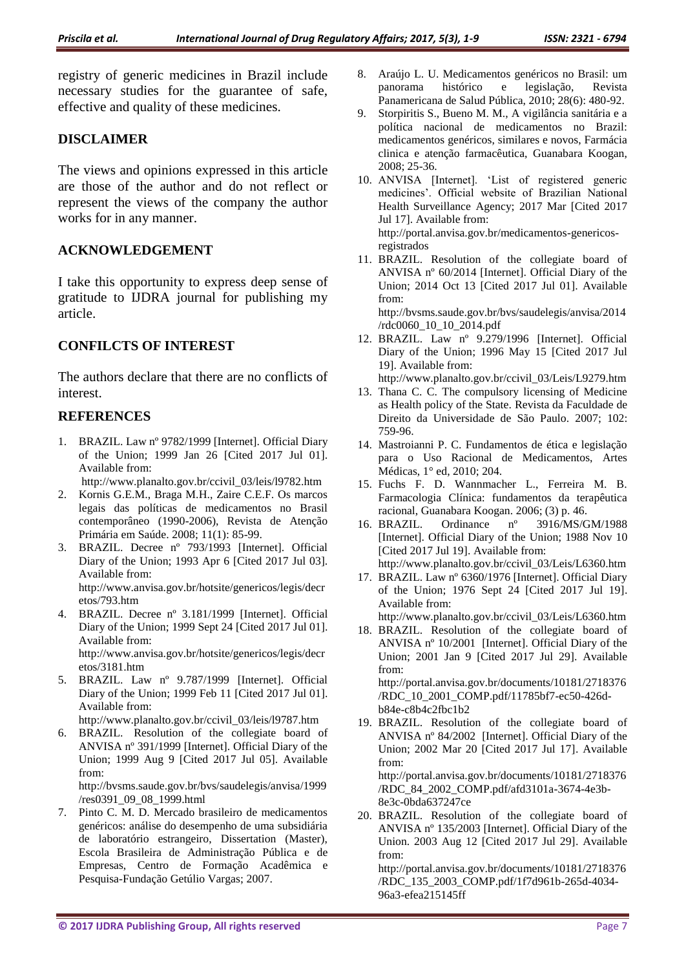registry of generic medicines in Brazil include necessary studies for the guarantee of safe, effective and quality of these medicines.

#### **DISCLAIMER**

The views and opinions expressed in this article are those of the author and do not reflect or represent the views of the company the author works for in any manner.

# **ACKNOWLEDGEMENT**

I take this opportunity to express deep sense of gratitude to IJDRA journal for publishing my article.

# **CONFILCTS OF INTEREST**

The authors declare that there are no conflicts of interest.

# **REFERENCES**

1. BRAZIL. Law nº 9782/1999 [Internet]. Official Diary of the Union; 1999 Jan 26 [Cited 2017 Jul 01]. Available from:

http://www.planalto.gov.br/ccivil\_03/leis/l9782.htm

- 2. Kornis G.E.M., Braga M.H., Zaire C.E.F. Os marcos legais das políticas de medicamentos no Brasil contemporâneo (1990-2006), Revista de Atenção Primária em Saúde. 2008; 11(1): 85-99.
- 3. BRAZIL. Decree nº 793/1993 [Internet]. Official Diary of the Union; 1993 Apr 6 [Cited 2017 Jul 03]. Available from: http://www.anvisa.gov.br/hotsite/genericos/legis/decr etos/793.htm
- 4. BRAZIL. Decree nº 3.181/1999 [Internet]. Official Diary of the Union; 1999 Sept 24 [Cited 2017 Jul 01]. Available from: http://www.anvisa.gov.br/hotsite/genericos/legis/decr etos/3181.htm
- 5. BRAZIL. Law nº 9.787/1999 [Internet]. Official Diary of the Union; 1999 Feb 11 [Cited 2017 Jul 01]. Available from:

http://www.planalto.gov.br/ccivil\_03/leis/l9787.htm

6. BRAZIL. Resolution of the collegiate board of ANVISA nº 391/1999 [Internet]. Official Diary of the Union; 1999 Aug 9 [Cited 2017 Jul 05]. Available from:

http://bvsms.saude.gov.br/bvs/saudelegis/anvisa/1999 /res0391\_09\_08\_1999.html

7. Pinto C. M. D. Mercado brasileiro de medicamentos genéricos: análise do desempenho de uma subsidiária de laboratório estrangeiro, Dissertation (Master), Escola Brasileira de Administração Pública e de Empresas, Centro de Formação Acadêmica e Pesquisa-Fundação Getúlio Vargas; 2007.

- 8. Araújo L. U. Medicamentos genéricos no Brasil: um panorama histórico e legislação, Revista Panamericana de Salud Pública, 2010; 28(6): 480-92.
- 9. Storpiritis S., Bueno M. M., A vigilância sanitária e a política nacional de medicamentos no Brazil: medicamentos genéricos, similares e novos, Farmácia clinica e atenção farmacêutica, Guanabara Koogan, 2008; 25-36.
- 10. ANVISA [Internet]. 'List of registered generic medicines'. Official website of Brazilian National Health Surveillance Agency; 2017 Mar [Cited 2017 Jul 17]. Available from: http://portal.anvisa.gov.br/medicamentos-genericosregistrados
- 11. BRAZIL. Resolution of the collegiate board of ANVISA nº 60/2014 [Internet]. Official Diary of the Union; 2014 Oct 13 [Cited 2017 Jul 01]. Available from:

http://bvsms.saude.gov.br/bvs/saudelegis/anvisa/2014 /rdc0060\_10\_10\_2014.pdf

- 12. BRAZIL. Law nº 9.279/1996 [Internet]. Official Diary of the Union; 1996 May 15 [Cited 2017 Jul 19]. Available from:
- http://www.planalto.gov.br/ccivil\_03/Leis/L9279.htm 13. Thana C. C. The compulsory licensing of Medicine as Health policy of the State. Revista da Faculdade de Direito da Universidade de São Paulo. 2007; 102: 759-96.
- 14. Mastroianni P. C. Fundamentos de ética e legislação para o Uso Racional de Medicamentos, Artes Médicas, 1° ed, 2010; 204.
- 15. Fuchs F. D. Wannmacher L., Ferreira M. B. Farmacologia Clínica: fundamentos da terapêutica racional, Guanabara Koogan. 2006; (3) p. 46.
- 16. BRAZIL. Ordinance nº 3916/MS/GM/1988 [Internet]. Official Diary of the Union; 1988 Nov 10 [Cited 2017 Jul 19]. Available from:
- http://www.planalto.gov.br/ccivil\_03/Leis/L6360.htm 17. BRAZIL. Law nº 6360/1976 [Internet]. Official Diary of the Union; 1976 Sept 24 [Cited 2017 Jul 19]. Available from:

http://www.planalto.gov.br/ccivil\_03/Leis/L6360.htm

- 18. BRAZIL. Resolution of the collegiate board of ANVISA nº 10/2001 [Internet]. Official Diary of the Union; 2001 Jan 9 [Cited 2017 Jul 29]. Available from: http://portal.anvisa.gov.br/documents/10181/2718376 /RDC\_10\_2001\_COMP.pdf/11785bf7-ec50-426db84e-c8b4c2fbc1b2
- 19. BRAZIL. Resolution of the collegiate board of ANVISA nº 84/2002 [Internet]. Official Diary of the Union; 2002 Mar 20 [Cited 2017 Jul 17]. Available from: http://portal.anvisa.gov.br/documents/10181/2718376 /RDC\_84\_2002\_COMP.pdf/afd3101a-3674-4e3b-8e3c-0bda637247ce
- 20. BRAZIL. Resolution of the collegiate board of ANVISA nº 135/2003 [Internet]. Official Diary of the Union. 2003 Aug 12 [Cited 2017 Jul 29]. Available from:

http://portal.anvisa.gov.br/documents/10181/2718376 /RDC\_135\_2003\_COMP.pdf/1f7d961b-265d-4034- 96a3-efea215145ff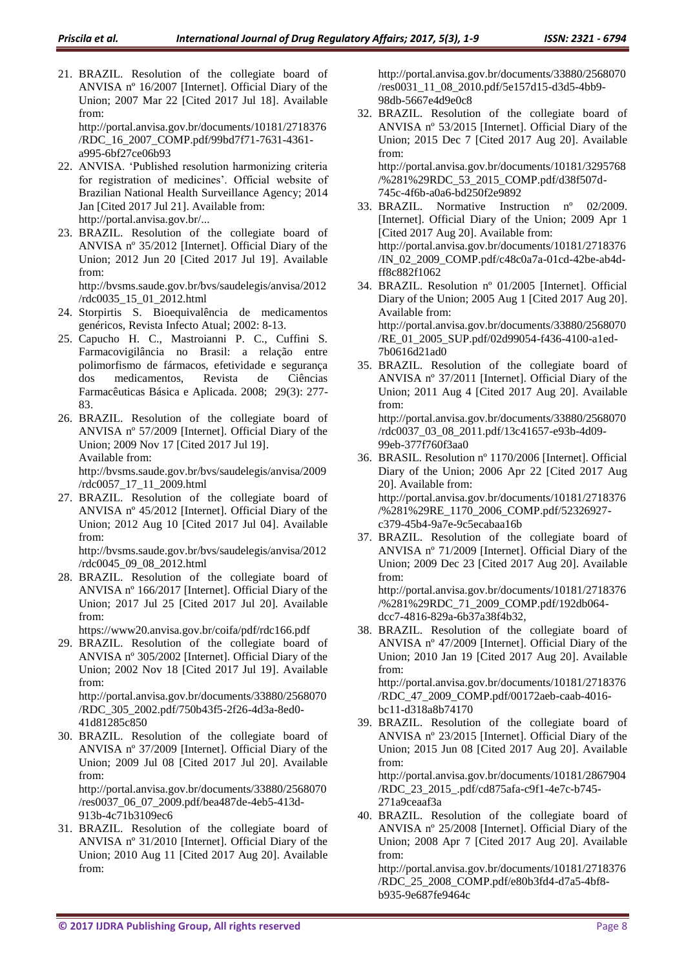21. BRAZIL. Resolution of the collegiate board of ANVISA nº 16/2007 [Internet]. Official Diary of the Union; 2007 Mar 22 [Cited 2017 Jul 18]. Available from:

http://portal.anvisa.gov.br/documents/10181/2718376 /RDC\_16\_2007\_COMP.pdf/99bd7f71-7631-4361 a995-6bf27ce06b93

- 22. ANVISA. 'Published resolution harmonizing criteria for registration of medicines'. Official website of Brazilian National Health Surveillance Agency; 2014 Jan [Cited 2017 Jul 21]. Available from: http://portal.anvisa.gov.br/...
- 23. BRAZIL. Resolution of the collegiate board of ANVISA nº 35/2012 [Internet]. Official Diary of the Union; 2012 Jun 20 [Cited 2017 Jul 19]. Available from:

http://bvsms.saude.gov.br/bvs/saudelegis/anvisa/2012 /rdc0035\_15\_01\_2012.html

- 24. Storpirtis S. Bioequivalência de medicamentos genéricos, Revista Infecto Atual; 2002: 8-13.
- 25. Capucho H. C., Mastroianni P. C., Cuffini S. Farmacovigilância no Brasil: a relação entre polimorfismo de fármacos, efetividade e segurança dos medicamentos, Revista de Ciências Farmacêuticas Básica e Aplicada. 2008; 29(3): 277- 83.
- 26. BRAZIL. Resolution of the collegiate board of ANVISA nº 57/2009 [Internet]. Official Diary of the Union; 2009 Nov 17 [Cited 2017 Jul 19]. Available from: http://bvsms.saude.gov.br/bvs/saudelegis/anvisa/2009

/rdc0057\_17\_11\_2009.html 27. BRAZIL. Resolution of the collegiate board of ANVISA nº 45/2012 [Internet]. Official Diary of the Union; 2012 Aug 10 [Cited 2017 Jul 04]. Available

from: http://bvsms.saude.gov.br/bvs/saudelegis/anvisa/2012

/rdc0045\_09\_08\_2012.html

28. BRAZIL. Resolution of the collegiate board of ANVISA nº 166/2017 [Internet]. Official Diary of the Union; 2017 Jul 25 [Cited 2017 Jul 20]. Available from:

https://www20.anvisa.gov.br/coifa/pdf/rdc166.pdf

29. BRAZIL. Resolution of the collegiate board of ANVISA nº 305/2002 [Internet]. Official Diary of the Union; 2002 Nov 18 [Cited 2017 Jul 19]. Available from:

http://portal.anvisa.gov.br/documents/33880/2568070 /RDC\_305\_2002.pdf/750b43f5-2f26-4d3a-8ed0- 41d81285c850

30. BRAZIL. Resolution of the collegiate board of ANVISA nº 37/2009 [Internet]. Official Diary of the Union; 2009 Jul 08 [Cited 2017 Jul 20]. Available from: http://portal.anvisa.gov.br/documents/33880/2568070

/res0037\_06\_07\_2009.pdf/bea487de-4eb5-413d-913b-4c71b3109ec6

31. BRAZIL. Resolution of the collegiate board of ANVISA nº 31/2010 [Internet]. Official Diary of the Union; 2010 Aug 11 [Cited 2017 Aug 20]. Available from:

http://portal.anvisa.gov.br/documents/33880/2568070 /res0031\_11\_08\_2010.pdf/5e157d15-d3d5-4bb9- 98db-5667e4d9e0c8

32. BRAZIL. Resolution of the collegiate board of ANVISA nº 53/2015 [Internet]. Official Diary of the Union; 2015 Dec 7 [Cited 2017 Aug 20]. Available from:

http://portal.anvisa.gov.br/documents/10181/3295768 /%281%29RDC\_53\_2015\_COMP.pdf/d38f507d-745c-4f6b-a0a6-bd250f2e9892

- 33. BRAZIL. Normative Instruction nº 02/2009. [Internet]. Official Diary of the Union; 2009 Apr 1 [Cited 2017 Aug 20]. Available from: http://portal.anvisa.gov.br/documents/10181/2718376 /IN\_02\_2009\_COMP.pdf/c48c0a7a-01cd-42be-ab4dff8c882f1062
- 34. BRAZIL. Resolution nº 01/2005 [Internet]. Official Diary of the Union; 2005 Aug 1 [Cited 2017 Aug 20]. Available from: http://portal.anvisa.gov.br/documents/33880/2568070 /RE\_01\_2005\_SUP.pdf/02d99054-f436-4100-a1ed-7b0616d21ad0
- 35. BRAZIL. Resolution of the collegiate board of ANVISA nº 37/2011 [Internet]. Official Diary of the Union; 2011 Aug 4 [Cited 2017 Aug 20]. Available from: http://portal.anvisa.gov.br/documents/33880/2568070 /rdc0037\_03\_08\_2011.pdf/13c41657-e93b-4d09-
- 99eb-377f760f3aa0 36. BRASIL. Resolution nº 1170/2006 [Internet]. Official Diary of the Union; 2006 Apr 22 [Cited 2017 Aug 20]. Available from: http://portal.anvisa.gov.br/documents/10181/2718376 /%281%29RE\_1170\_2006\_COMP.pdf/52326927 c379-45b4-9a7e-9c5ecabaa16b
- 37. BRAZIL. Resolution of the collegiate board of ANVISA nº 71/2009 [Internet]. Official Diary of the Union; 2009 Dec 23 [Cited 2017 Aug 20]. Available from:

http://portal.anvisa.gov.br/documents/10181/2718376 /%281%29RDC\_71\_2009\_COMP.pdf/192db064 dcc7-4816-829a-6b37a38f4b32,

38. BRAZIL. Resolution of the collegiate board of ANVISA nº 47/2009 [Internet]. Official Diary of the Union; 2010 Jan 19 [Cited 2017 Aug 20]. Available from:

http://portal.anvisa.gov.br/documents/10181/2718376 /RDC\_47\_2009\_COMP.pdf/00172aeb-caab-4016 bc11-d318a8b74170

39. BRAZIL. Resolution of the collegiate board of ANVISA nº 23/2015 [Internet]. Official Diary of the Union; 2015 Jun 08 [Cited 2017 Aug 20]. Available from: http://portal.anvisa.gov.br/documents/10181/2867904 /RDC\_23\_2015\_.pdf/cd875afa-c9f1-4e7c-b745-

271a9ceaaf3a

40. BRAZIL. Resolution of the collegiate board of ANVISA nº 25/2008 [Internet]. Official Diary of the Union; 2008 Apr 7 [Cited 2017 Aug 20]. Available from:

http://portal.anvisa.gov.br/documents/10181/2718376 /RDC\_25\_2008\_COMP.pdf/e80b3fd4-d7a5-4bf8 b935-9e687fe9464c